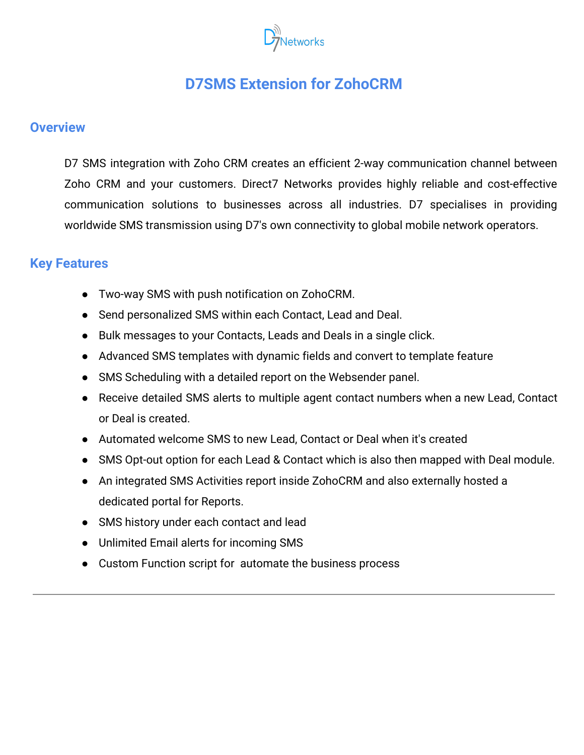

# **D7SMS Extension for ZohoCRM**

#### **Overview**

D7 SMS integration with Zoho CRM creates an efficient 2-way communication channel between Zoho CRM and your customers. Direct7 Networks provides highly reliable and cost-effective communication solutions to businesses across all industries. D7 specialises in providing worldwide SMS transmission using D7's own connectivity to global mobile network operators.

#### **Key Features**

- Two-way SMS with push notification on ZohoCRM.
- Send personalized SMS within each Contact, Lead and Deal.
- Bulk messages to your Contacts, Leads and Deals in a single click.
- Advanced SMS templates with dynamic fields and convert to template feature
- SMS Scheduling with a detailed report on the Websender panel.
- Receive detailed SMS alerts to multiple agent contact numbers when a new Lead, Contact or Deal is created.
- Automated welcome SMS to new Lead, Contact or Deal when it's created
- SMS Opt-out option for each Lead & Contact which is also then mapped with Deal module.
- An integrated SMS Activities report inside ZohoCRM and also externally hosted a dedicated portal for Reports.
- SMS history under each contact and lead
- Unlimited Email alerts for incoming SMS
- Custom Function script for automate the business process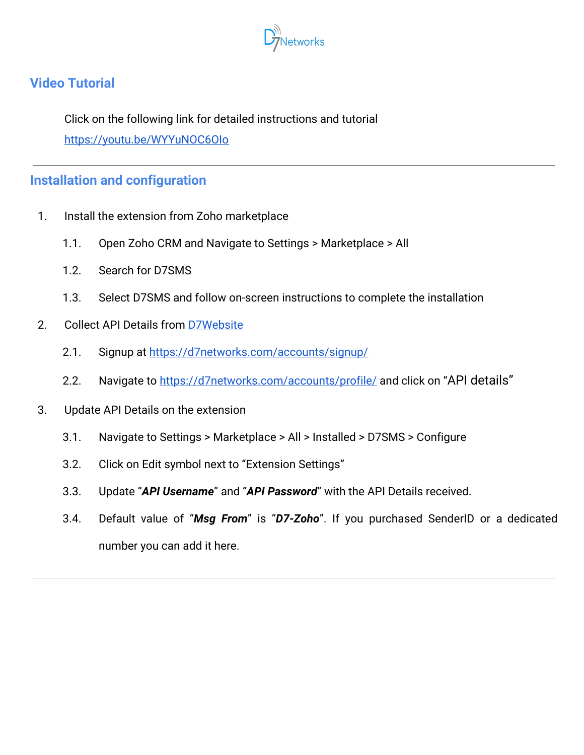

### **Video Tutorial**

Click on the following link for detailed instructions and tutorial <https://youtu.be/WYYuNOC6OIo>

### **Installation and configuration**

- 1. Install the extension from Zoho marketplace
	- 1.1. Open Zoho CRM and Navigate to Settings > Marketplace > All
	- 1.2. Search for D7SMS
	- 1.3. Select D7SMS and follow on-screen instructions to complete the installation
- 2. Collect API Details from [D7Website](https://d7networks.com/)
	- 2.1. Signup at <https://d7networks.com/accounts/signup/>
	- 2.2. Navigate to<https://d7networks.com/accounts/profile/> and click on "API details"
- 3. Update API Details on the extension
	- 3.1. Navigate to Settings > Marketplace > All > Installed > D7SMS > Configure
	- 3.2. Click on Edit symbol next to "Extension Settings"
	- 3.3. Update "*API Username*" and "*API Password*" with the API Details received.
	- 3.4. Default value of "*Msg From*" is "*D7-Zoho*". If you purchased SenderID or a dedicated number you can add it here.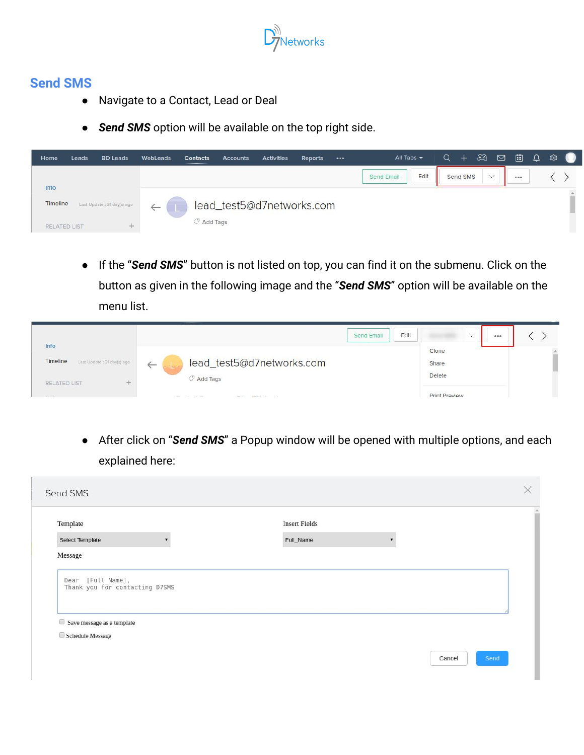

### **Send SMS**

- Navigate to a Contact, Lead or Deal
- **Send SMS** option will be available on the top right side.

| Home                | Leads | <b>BD Leads</b>             | WebLeads     | Contacts           | Accounts                  | <b>Activities</b> | Reports | $\bullet\bullet\bullet$ | All Tabs $\blacktriangledown$ |      | Q | $+$      | $\mathbb{C}$ | $\Box$ | 画 | $\Omega$ | ශ |              |
|---------------------|-------|-----------------------------|--------------|--------------------|---------------------------|-------------------|---------|-------------------------|-------------------------------|------|---|----------|--------------|--------|---|----------|---|--------------|
|                     |       |                             |              |                    |                           |                   |         |                         | <b>Send Email</b>             | Edit |   | Send SMS | $\checkmark$ |        |   |          |   |              |
| Info                |       |                             |              |                    |                           |                   |         |                         |                               |      |   |          |              |        |   |          |   | $\triangleq$ |
| Timeline            |       | Last Update : 31 day(s) ago | $\leftarrow$ |                    | lead_test5@d7networks.com |                   |         |                         |                               |      |   |          |              |        |   |          |   |              |
| <b>RELATED LIST</b> |       | $-1$                        |              | $\oslash$ Add Tags |                           |                   |         |                         |                               |      |   |          |              |        |   |          |   | ш            |

● If the "*Send SMS*" button is not listed on top, you can find it on the submenu. Click on the button as given in the following image and the "*Send SMS*" option will be available on the menu list.

|                                          | Edit<br><b>Send Email</b>       | $\checkmark$<br>0.0.0 |  |
|------------------------------------------|---------------------------------|-----------------------|--|
| Info                                     |                                 | Clone                 |  |
| Timeline<br>Last Update : 31 day(s) ago: | lead_test5@d7networks.com<br>__ | Share                 |  |
| RELATED LIST<br>$-1$                     | Add Tags                        | Delete                |  |
| $\sim$                                   | $\sim$<br>$\sim$                | <b>Print Preview</b>  |  |

● After click on "*Send SMS*" a Popup window will be opened with multiple options, and each explained here:

| Template                                                                                    | <b>Insert Fields</b> |  |
|---------------------------------------------------------------------------------------------|----------------------|--|
| Select Template                                                                             | Full_Name            |  |
| Message                                                                                     |                      |  |
| [Full_Name],<br>Dear<br>Thank you for contacting D7SMS<br>$\Box$ Save message as a template |                      |  |
|                                                                                             |                      |  |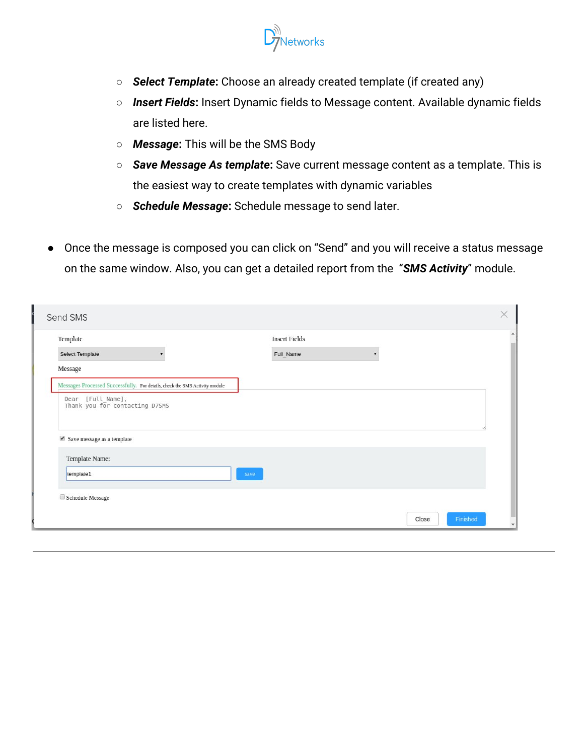

- *Select Template***:** Choose an already created template (if created any)
- *Insert Fields***:** Insert Dynamic fields to Message content. Available dynamic fields are listed here.
- *Message***:** This will be the SMS Body
- *Save Message As template***:** Save current message content as a template. This is the easiest way to create templates with dynamic variables
- *Schedule Message***:** Schedule message to send later.
- Once the message is composed you can click on "Send" and you will receive a status message on the same window. Also, you can get a detailed report from the "*SMS Activity*" module.

| Template                                                                                                |                                                                             | <b>Insert Fields</b> |  |
|---------------------------------------------------------------------------------------------------------|-----------------------------------------------------------------------------|----------------------|--|
| Select Template                                                                                         |                                                                             | Full_Name            |  |
| Message                                                                                                 |                                                                             |                      |  |
|                                                                                                         | Messages Processed Successfully. For details, check the SMS Activity module |                      |  |
| Dear [Full_Name],<br>Thank you for contacting D7SMS<br>$\blacktriangleright$ Save message as a template |                                                                             |                      |  |
|                                                                                                         |                                                                             |                      |  |
| Template Name:                                                                                          |                                                                             | save                 |  |
| template1                                                                                               |                                                                             |                      |  |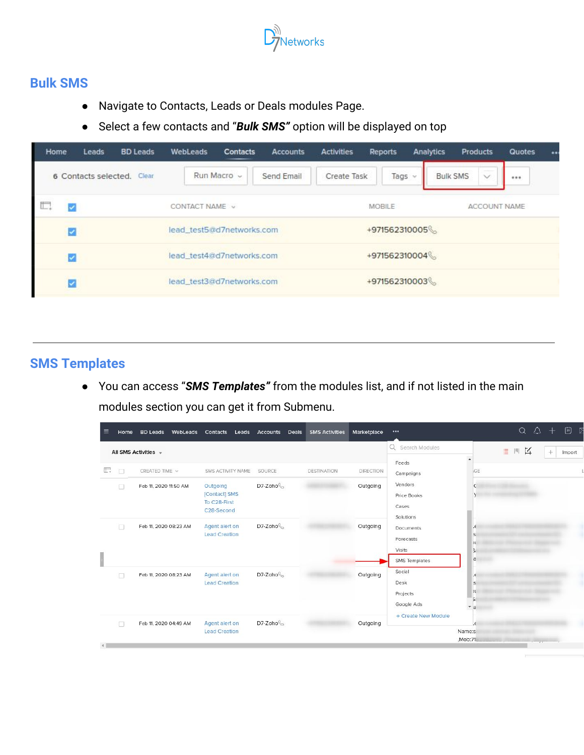

### **Bulk SMS**

- Navigate to Contacts, Leads or Deals modules Page.
- Select a few contacts and "*Bulk SMS"* option will be displayed on top

| Home | Leads                | <b>BD Leads</b> | WebLeads                  | <b>Contacts</b> | Accounts   | <b>Activities</b> | Reports       | Analytics | <b>Products</b>                                   | Quotes | $\ddot{\phantom{a}}$ |
|------|----------------------|-----------------|---------------------------|-----------------|------------|-------------------|---------------|-----------|---------------------------------------------------|--------|----------------------|
|      | 6 Contacts selected. | Clear           |                           | Run Macro ~     | Send Email | Create Task       | Tags          | 1 se      | <b>Service</b><br><b>Bulk SMS</b><br>$\checkmark$ | 0.0.0  |                      |
| ii.  |                      |                 | CONTACT NAME v            |                 |            |                   | MOBILE        |           | ACCOUNT NAME                                      |        |                      |
|      |                      |                 | lead_test5@d7networks.com |                 |            |                   | +971562310005 |           |                                                   |        |                      |
|      |                      |                 | lead_test4@d7networks.com |                 |            |                   | +971562310004 |           |                                                   |        |                      |
|      |                      |                 | lead_test3@d7networks.com |                 |            |                   | +971562310003 |           |                                                   |        |                      |
|      |                      |                 |                           |                 |            |                   |               |           |                                                   |        |                      |

## **SMS Templates**

● You can access "*SMS Templates"* from the modules list, and if not listed in the main modules section you can get it from Submenu.

| ≡ | Home   | <b>BD Leads</b>       | WebLeads Contacts Leads Accounts                                     | Deals                            | <b>SMS Activities</b> | Marketplace      | $\cdots$                                                        | 十回区<br>$Q_\alpha Q_\alpha$                        |
|---|--------|-----------------------|----------------------------------------------------------------------|----------------------------------|-----------------------|------------------|-----------------------------------------------------------------|---------------------------------------------------|
|   |        | All SMS Activities -  |                                                                      |                                  |                       |                  | Q Search Modules                                                | $\mathbb{K}$<br>言門<br>$^{+}$<br>Import            |
| 眼 | $\Box$ | CREATED TIME v        | SMS ACTIVITY NAME                                                    | SOURCE                           | <b>DESTINATION</b>    | <b>DIRECTION</b> | Feeds<br>Campaigns                                              | <b>SCE</b>                                        |
|   | $\Box$ | Feb 11, 2020 11:50 AM | Outgoing<br>[Contact] SMS<br>To C28-First<br>C <sub>28</sub> -Second | D7-Zoho                          |                       | Outgoing         | Vendors<br>Price Books<br>Cases<br>Solutions                    | $\mathsf{C}$<br>$\mathcal{Y}$                     |
|   | $\Box$ | Feb 11, 2020 08:23 AM | Agent alert on<br><b>Lead Creation</b>                               | $D7$ -Zoho $\mathcal{C}_{\odot}$ |                       | Outgoing         | Documents<br>Forecasts<br>Visits<br>SMS Templates               | $\epsilon$<br>s<br>n.<br>S.<br>a                  |
|   | П      | Feb 11, 2020 08:23 AM | Agent alert on<br><b>Lead Creation</b>                               | $D7$ -Zoho $\mathcal{C}_{\odot}$ |                       | Outgoing         | Social<br>Desk<br>Projects<br>Google Ads<br>+ Create New Module | $\epsilon$<br>s<br>π<br>'Si<br>$\mathbf{v}$ a     |
|   | 门      | Feb 11, 2020 04:49 AM | Agent alert on<br><b>Lead Creation</b>                               | $D7$ -Zoho $\mathbb{C}$          |                       | Outgoing         |                                                                 | $\epsilon$<br>Name:s<br>,Mob:71<br>$\overline{a}$ |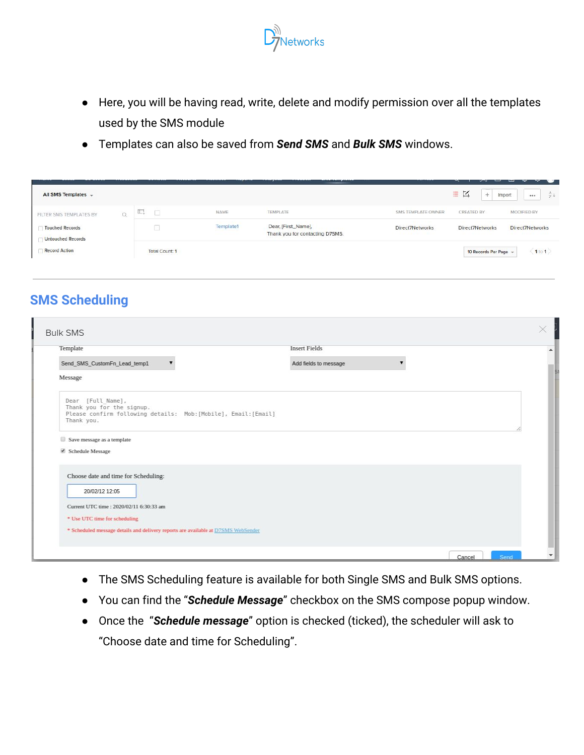

- Here, you will be having read, write, delete and modify permission over all the templates used by the SMS module
- Templates can also be saved from *Send SMS* and *Bulk SMS* windows.

| All SMS Templates +                                |          |                                               |           |                                                        |                                                    | $\equiv K$          | -94<br>Import<br>          |
|----------------------------------------------------|----------|-----------------------------------------------|-----------|--------------------------------------------------------|----------------------------------------------------|---------------------|----------------------------|
| FILTER SMS TEMPLATES BY                            | $\alpha$ | t.<br>□                                       | NAME      | TEMPLATE                                               | SMS TEMPLATE OWNER                                 | CREATED BY          | <b>MODIFIED BY</b>         |
| <b>Touched Records</b><br><b>Untouched Records</b> |          |                                               | Template1 | Dear, [First_Name],<br>Thank you for contacting D7SMS. | Direct7Networks<br><b>CALIFORNIA DE CALIFORNIA</b> | Direct7Networks     | Direct7Networks            |
| <b>Record Action</b>                               |          | <b>Total Count: 1</b><br>こくりこう ふくろうこうしゃく リントリ |           |                                                        |                                                    | 10 Records Per Page | $\langle 1$ to $1 \rangle$ |

### **SMS Scheduling**

| Template                                                                                                                        | <b>Insert Fields</b>  |  |
|---------------------------------------------------------------------------------------------------------------------------------|-----------------------|--|
| Send_SMS_CustomFn_Lead_temp1<br>$\overline{\mathbf{v}}$                                                                         | Add fields to message |  |
| Message                                                                                                                         |                       |  |
| Dear [Full Name],<br>Thank you for the signup.<br>Please confirm following details: Mob: [Mobile], Email: [Email]<br>Thank you. |                       |  |
| Save message as a template<br>Schedule Message                                                                                  |                       |  |
| Choose date and time for Scheduling:<br>20/02/12 12:05                                                                          |                       |  |
| Current UTC time : 2020/02/11 6:30:33 am<br>* Use UTC time for scheduling                                                       |                       |  |
| * Scheduled message details and delivery reports are available at D7SMS WebSender                                               |                       |  |

- The SMS Scheduling feature is available for both Single SMS and Bulk SMS options.
- You can find the "*Schedule Message*" checkbox on the SMS compose popup window.
- Once the "*Schedule message*" option is checked (ticked), the scheduler will ask to "Choose date and time for Scheduling".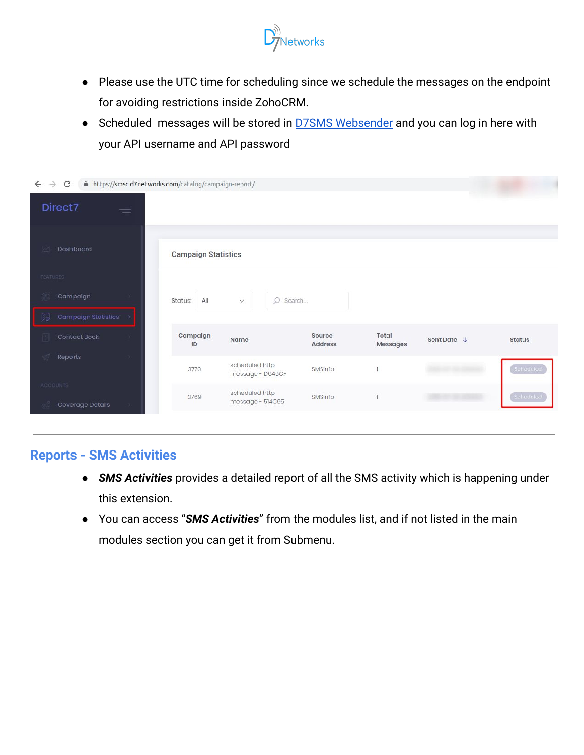

- Please use the UTC time for scheduling since we schedule the messages on the endpoint for avoiding restrictions inside ZohoCRM.
- Scheduled messages will be stored in **[D7SMS Websender](http://smsc.d7networks.com/)** and you can log in here with your API username and API password

| A https://smsc.d7networks.com/catalog/campaign-report/<br>$\leftarrow$<br>C<br>$\rightarrow$ |                            |                                    |                          |                   |                        |               |
|----------------------------------------------------------------------------------------------|----------------------------|------------------------------------|--------------------------|-------------------|------------------------|---------------|
| Direct7                                                                                      |                            |                                    |                          |                   |                        |               |
|                                                                                              |                            |                                    |                          |                   |                        |               |
| Dashboard                                                                                    | <b>Campaign Statistics</b> |                                    |                          |                   |                        |               |
| FEATURES                                                                                     |                            |                                    |                          |                   |                        |               |
| Campaign                                                                                     | All<br>Status:             | $\circ$<br>$\checkmark$<br>Search  |                          |                   |                        |               |
| <b>Campaign Statistics</b><br>局                                                              |                            |                                    |                          |                   |                        |               |
| Contact Book                                                                                 | Campaign<br>ID             | Name                               | Source<br><b>Address</b> | Total<br>Messages | Sent Date $\downarrow$ | <b>Status</b> |
| Reports                                                                                      | 3770                       | scheduled http<br>message - D646CF | SMSInfo                  |                   |                        | Scheduled     |
| <b>ACCOUNTS</b>                                                                              | 3769                       | scheduled http                     | SMSInfo                  |                   |                        | Scheduled     |
| Coverage Details                                                                             |                            | message - 514C95                   |                          |                   |                        |               |

### **Reports - SMS Activities**

- *SMS Activities* provides a detailed report of all the SMS activity which is happening under this extension.
- You can access "*SMS Activities*" from the modules list, and if not listed in the main modules section you can get it from Submenu.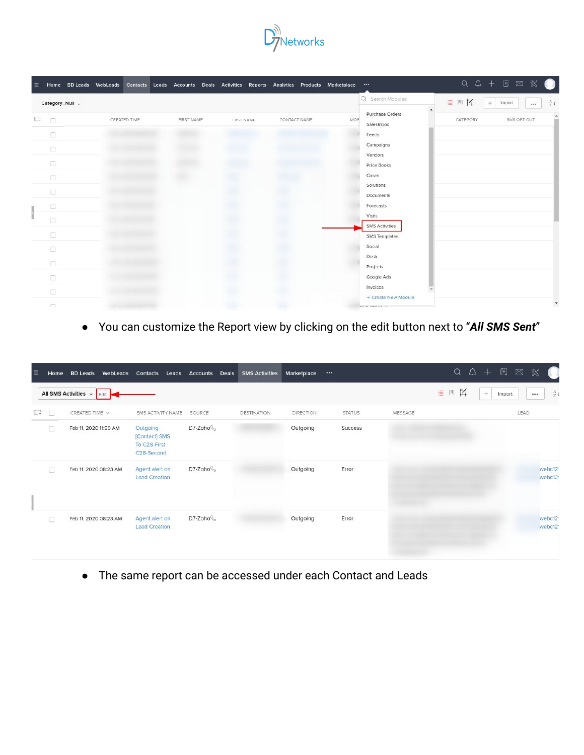

| $\equiv$ |        | Home BD Leads WebLeads |            |           | Contacts Leads Accounts Deals Activities Reports Analytics Products Marketplace |     |                               | $Q Q + E M$                               |
|----------|--------|------------------------|------------|-----------|---------------------------------------------------------------------------------|-----|-------------------------------|-------------------------------------------|
|          |        | Category_Null +        |            |           |                                                                                 |     | Q Search Modules              | 四区<br>$\equiv$<br>74<br>$+$<br>Import<br> |
| $\Box$   | o      | CREATED TIME           | FIRST NAME | LAST NAME | CONTACT NAME                                                                    | MOE | Purchase Orders<br>SalesInbox | SMS OPT OUT<br>CATEGORY                   |
|          | O      |                        |            |           |                                                                                 |     | Feeds                         |                                           |
|          | $\Box$ |                        |            |           |                                                                                 |     | Campaigns                     |                                           |
|          | $\Box$ |                        |            |           |                                                                                 |     | Vendors<br>Price Books        |                                           |
|          | $\Box$ |                        |            |           |                                                                                 |     | Cases                         |                                           |
|          |        |                        |            |           |                                                                                 |     | Solutions                     |                                           |
|          | $\Box$ |                        |            |           |                                                                                 |     | Documents                     |                                           |
|          | α      |                        |            |           |                                                                                 |     | Forecasts                     |                                           |
|          | Π      |                        |            |           |                                                                                 |     | Visits                        |                                           |
|          |        |                        |            |           |                                                                                 |     | <b>SMS Activities</b>         |                                           |
|          | σ      |                        |            |           |                                                                                 |     | SMS Templates                 |                                           |
|          | 0      |                        |            |           |                                                                                 |     | Social                        |                                           |
|          | $\Box$ |                        |            |           |                                                                                 |     | Desk                          |                                           |
|          |        |                        |            |           |                                                                                 |     | Projects                      |                                           |
|          | $\Box$ |                        |            |           |                                                                                 |     | Google Ads                    |                                           |
|          | 0      |                        |            |           |                                                                                 |     | Invoices                      |                                           |
|          |        |                        |            |           |                                                                                 |     | + Create New Module           |                                           |
|          | $\Box$ |                        |            |           |                                                                                 |     | <b>WEB TWO EX TOP</b>         |                                           |

● You can customize the Report view by clicking on the edit button next to "*All SMS Sent*"

| E      | Home | <b>BD Leads</b><br>WebLeads | Contacts<br>Leads                                                    | <b>Accounts</b><br>Deals | <b>SMS Activities</b> | Marketplace | $\cdots$      |         | $\alpha$<br>$\Delta +$<br>$\begin{bmatrix} 21 \end{bmatrix}$<br>⊠<br>℁ |
|--------|------|-----------------------------|----------------------------------------------------------------------|--------------------------|-----------------------|-------------|---------------|---------|------------------------------------------------------------------------|
|        |      | All SMS Activities v Edit   |                                                                      |                          |                       |             |               |         | $\mathbb{I}'$<br>崖<br>$[11]$<br>$\frac{A}{Z}$<br>$+$<br>Import<br>     |
| $\Box$ | □    | CREATED TIME $\sqrt{}$      | SMS ACTIVITY NAME                                                    | SOURCE                   | DESTINATION           | DIRECTION   | <b>STATUS</b> | MESSAGE | LEAD                                                                   |
|        | o    | Feb 11, 2020 11:50 AM       | Outgoing<br>[Contact] SMS<br>To C28-First<br>C <sub>28</sub> -Second | D7-Zoho                  |                       | Outgoing    | Success       |         |                                                                        |
|        | R    | Feb 11, 2020 08:23 AM       | Agent alert on<br><b>Lead Creation</b>                               | D7-Zoho                  |                       | Outgoing    | Error         |         | webc12<br>webc12                                                       |
|        | Ω    | Feb 11, 2020 08:23 AM       | Agent alert on<br><b>Lead Creation</b>                               | D7-Zoho                  |                       | Outgoing    | Error         |         | webc12<br>webc12                                                       |

● The same report can be accessed under each Contact and Leads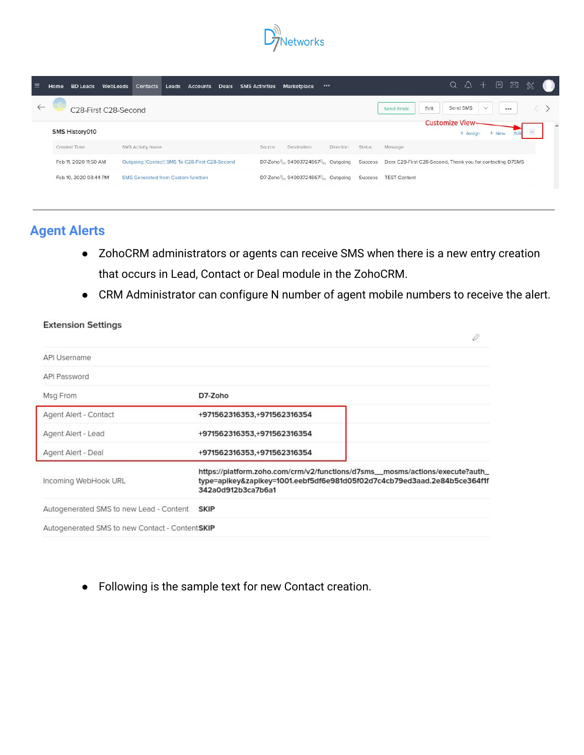

| ≡            | <b>BD Leads</b><br>Home | WebLeads<br>Contacts<br>Leads Accounts Deals SMS Activities | <br>Marketplace                                     | $Q Q + E$<br>※                                                    |
|--------------|-------------------------|-------------------------------------------------------------|-----------------------------------------------------|-------------------------------------------------------------------|
| $\leftarrow$ | C28-First C28-Second    |                                                             |                                                     | Send SMS<br>$\checkmark$<br>Edit<br>$\cdots$<br>Send Email        |
|              | SMS History010          |                                                             |                                                     | Customize View-<br>$\checkmark$<br>+ New<br>+ Assign              |
|              | Created Time            | SMS Activity Name                                           | Destination<br>Direction<br><b>Status</b><br>Source | Message                                                           |
|              | Feb 11, 2020 11:50 AM   | Outgoing [Contact] SMS To C28-First C28-Second              | D7-Zoho 94903724867 Cutgoing                        | Success Dear C28-First C28-Second, Thank you for contacting D7SMS |
|              | Feb 10, 2020 03:44 PM   | <b>SMS Generated from Custom function</b>                   | D7-Zoho 94903724867 Cutgoing<br>Success             | <b>TEST Content</b>                                               |

### **Agent Alerts**

**Extension Settings** 

- ZohoCRM administrators or agents can receive SMS when there is a new entry creation that occurs in Lead, Contact or Deal module in the ZohoCRM.
- CRM Administrator can configure N number of agent mobile numbers to receive the alert.

| API Username                                   |                                                                                                                                                                                 |
|------------------------------------------------|---------------------------------------------------------------------------------------------------------------------------------------------------------------------------------|
| API Password                                   |                                                                                                                                                                                 |
| Msg From                                       | D7-Zoho                                                                                                                                                                         |
| Agent Alert - Contact                          | +971562316353,+971562316354                                                                                                                                                     |
| Agent Alert - Lead                             | +971562316353,+971562316354                                                                                                                                                     |
| Agent Alert - Deal                             | +971562316353,+971562316354                                                                                                                                                     |
| Incoming WebHook URL                           | https://platform.zoho.com/crm/v2/functions/d7sms__mosms/actions/execute?auth_<br>type=apikey&zapikey=1001.eebf5df6e981d05f02d7c4cb79ed3aad.2e84b5ce364f1f<br>342a0d912b3ca7b6a1 |
| Autogenerated SMS to new Lead - Content SKIP   |                                                                                                                                                                                 |
| Autogenerated SMS to new Contact - ContentSKIP |                                                                                                                                                                                 |

● Following is the sample text for new Contact creation.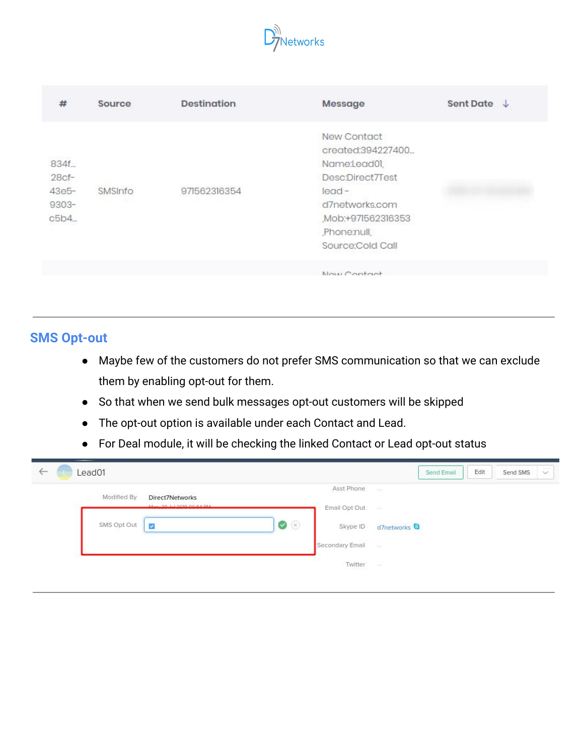

| #                                                 | Source  | <b>Destination</b> | Message                                                                                                                                                    | Sent Date J |
|---------------------------------------------------|---------|--------------------|------------------------------------------------------------------------------------------------------------------------------------------------------------|-------------|
| 834f.<br>$28cf-$<br>$43e5 -$<br>$9303 -$<br>c5b4. | SMSInfo | 971562316354       | New Contact<br>created:394227400<br>Name:Lead01,<br>Desc:Direct7Test<br>$lead -$<br>d7networks.com<br>Mob:+971562316353<br>Phone:null,<br>Source:Cold Call |             |
|                                                   |         |                    | Nous Contact                                                                                                                                               |             |

## **SMS Opt-out**

- Maybe few of the customers do not prefer SMS communication so that we can exclude them by enabling opt-out for them.
- So that when we send bulk messages opt-out customers will be skipped
- The opt-out option is available under each Contact and Lead.
- For Deal module, it will be checking the linked Contact or Lead opt-out status

| Lead01<br>$\leftarrow$ |                         |                   |                    | Edit<br>Send Email                                                                                                                                                                                                                                        | Send SMS<br>$\checkmark$ |
|------------------------|-------------------------|-------------------|--------------------|-----------------------------------------------------------------------------------------------------------------------------------------------------------------------------------------------------------------------------------------------------------|--------------------------|
| Modified By            | Direct7Networks         |                   | Asst Phone         | $\Rightarrow$                                                                                                                                                                                                                                             |                          |
|                        | Man 20 H-12010 00-54 PM |                   | Email Opt Out      |                                                                                                                                                                                                                                                           |                          |
| SMS Opt Out            | $\overline{\mathbf{v}}$ | $\bullet$ $\circ$ | Skype ID           | d7networks <sup>9</sup><br>and the company of the second second second the second second second second second second second second second second second second second second second second second second second second second second second second second |                          |
|                        |                         |                   | Secondary Email    | $\sim$                                                                                                                                                                                                                                                    |                          |
|                        |                         |                   | Twitter<br>1972674 | 革                                                                                                                                                                                                                                                         |                          |
|                        |                         |                   |                    |                                                                                                                                                                                                                                                           |                          |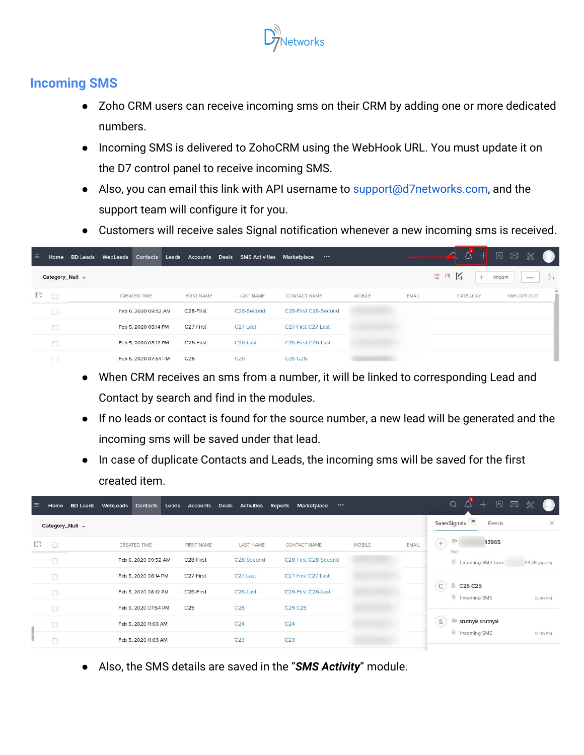

### **Incoming SMS**

- Zoho CRM users can receive incoming sms on their CRM by adding one or more dedicated numbers.
- Incoming SMS is delivered to ZohoCRM using the WebHook URL. You must update it on the D7 control panel to receive incoming SMS.
- Also, you can email this link with API username to [support@d7networks.com,](mailto:support@d7networks.com) and the support team will configure it for you.
- Customers will receive sales Signal notification whenever a new incoming sms is received.

| ≡  | Home            | <b>BD Leads WebLeads</b> | Contacts             | Leads |                        |                 | Accounts Deals SMS Activities | Marketplace                     |                                    |                   | $\Omega$<br>$\Delta$<br>$^+$ | $\begin{bmatrix} \ddots \\ \ddots \end{bmatrix}$<br>$\boxtimes$<br>$\mathbb{X}$<br>œ |
|----|-----------------|--------------------------|----------------------|-------|------------------------|-----------------|-------------------------------|---------------------------------|------------------------------------|-------------------|------------------------------|--------------------------------------------------------------------------------------|
|    | Category_Null + |                          |                      |       |                        |                 |                               |                                 |                                    |                   | 环<br>丰<br>凹<br>$+$           | $rac{A}{2}$<br>Import<br>                                                            |
| E. | $\Box$          |                          | CREATED TIME         |       | <b>FIRST NAME</b>      |                 | LAST NAME                     | CONTACT NAME                    | <b><i>CONTRACTOR</i></b><br>MOBILE | Novo non<br>EMAIL | CATEGORY                     | SMS OPT OUT                                                                          |
|    | O               |                          | Feb 6, 2020 09:52 AM |       | C28-First              |                 | C28-Second                    | C28-First C28-Second            |                                    |                   |                              |                                                                                      |
|    | O               |                          | Feb 5, 2020 08:14 PM |       | C27-First              |                 | C <sub>27</sub> -Last         | C27-First C27-Last              |                                    |                   |                              |                                                                                      |
|    |                 |                          | Feb 5, 2020 08:12 PM |       | C <sub>26</sub> -First |                 | C <sub>26</sub> -Last         | C26-First C26-Last              |                                    |                   |                              |                                                                                      |
|    |                 |                          | Feb 5, 2020 07:54 PM |       | C <sub>25</sub>        | C <sub>25</sub> |                               | C <sub>25</sub> C <sub>25</sub> |                                    |                   |                              |                                                                                      |

- When CRM receives an sms from a number, it will be linked to corresponding Lead and Contact by search and find in the modules.
- If no leads or contact is found for the source number, a new lead will be generated and the incoming sms will be saved under that lead.
- In case of duplicate Contacts and Leads, the incoming sms will be saved for the first created item.

| 言  | Home            | <b>BD Leads</b> | WebLeads | Contacts             | Leads             | Accounts Deals Activities Reports | $$<br>Marketplace               |        |       | $\begin{bmatrix} \ddots \\ \ddots \end{bmatrix}$<br>$\alpha$<br>△<br>⊠<br>$^{+}$ |              |
|----|-----------------|-----------------|----------|----------------------|-------------------|-----------------------------------|---------------------------------|--------|-------|----------------------------------------------------------------------------------|--------------|
|    | Category_Null - |                 |          |                      |                   |                                   |                                 |        |       | SalesSignals <sup>38</sup><br>Feeds                                              | $\times$     |
| E. | $\Box$          |                 |          | CREATED TIME         | <b>FIRST NAME</b> | <b>LAST NAME</b>                  | CONTACT NAME                    | MOBILE | EMAIL | $\circledcirc$<br>$^{\rm +}$<br>43965<br>Null                                    |              |
|    | $\Box$          |                 |          | Feb 6, 2020 09:52 AM | C28-First         | C28-Second                        | C28-First C28-Second            |        |       | $\n  lncoming SMS from\n$                                                        | 443912:41 PM |
|    | □               |                 |          | Feb 5, 2020 08:14 PM | C27-First         | C <sub>27</sub> -Last             | C27-First C27-Last              |        |       |                                                                                  |              |
|    | □               |                 |          | Feb 5, 2020 08:12 PM | C26-First         | C <sub>26</sub> -Last             | C26-First C26-Last              |        |       | $\mathsf{C}$<br>& C25 C25<br><b>D</b> <sup>f</sup> Incoming SMS                  | 12:40 PM     |
|    | П               |                 |          | Feb 5, 2020 07:54 PM | C <sub>25</sub>   | C <sub>25</sub>                   | C <sub>25</sub> C <sub>25</sub> |        |       |                                                                                  |              |
|    | O               |                 |          | Feb 5, 2020 11:03 AM |                   | C <sub>24</sub>                   | C <sub>24</sub>                 |        |       | S<br><sup>®</sup> sruthy9 sruthy9                                                |              |
|    |                 |                 |          | Feb 5, 2020 11:03 AM |                   | C <sub>23</sub>                   | C <sub>23</sub>                 |        |       | $D_7$ Incoming SMS                                                               | 12:40 PM     |

● Also, the SMS details are saved in the "*SMS Activity*" module.